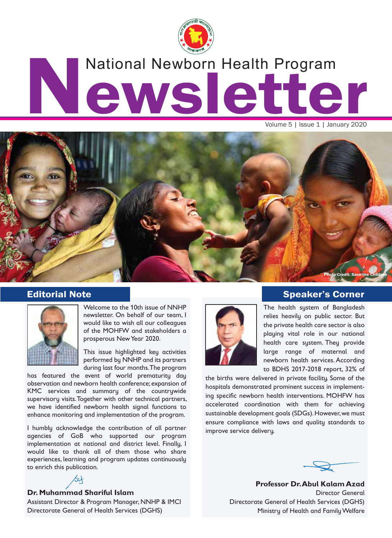

# National Newborn Health Program<br>
CWSCCCCC National Newborn Health Program

Volume 5 | Issue 1 | January 2020



#### Editorial Note



Welcome to the 10th issue of NNHP newsletter. On behalf of our team, I would like to wish all our colleagues of the MOHFW and stakeholders a prosperous New Year 2020.

This issue highlighted key activities performed by NNHP and its partners during last four months. The program

has featured the event of world prematurity day observation and newborn health conference; expansion of KMC services and summary of the countrywide supervisory visits. Together with other technical partners, we have identified newborn health signal functions to enhance monitoring and implementation of the program.

I humbly acknowledge the contribution of all partner agencies of GoB who supported our program implementation at national and district level. Finally, I would like to thank all of them those who share experiences, learning and program updates continuously to enrich this publication.



#### **Dr. Muhammad Shariful Islam**

Assistant Director & Program Manager, NNHP & IMCI Directorate General of Health Services (DGHS)



# Speaker's Corner

The health system of Bangladesh relies heavily on public sector. But the private health care sector is also playing vital role in our national health care system. They provide large range of maternal and newborn health services. According to BDHS 2017-2018 report, 32% of

the births were delivered in private facility. Some of the hospitals demonstrated prominent success in implementing specific newborn health interventions. MOHFW has accelerated coordination with them for achieving sustainable development goals (SDGs). However, we must ensure compliance with laws and quality standards to improve service delivery.



**Professor Dr. Abul Kalam Azad** Director General Directorate General of Health Services (DGHS) Ministry of Health and Family Welfare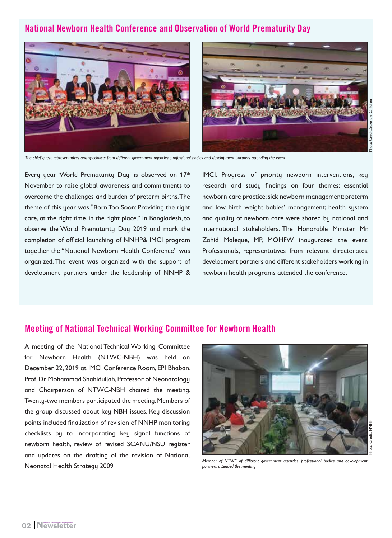# National Newborn Health Conference and Observation of World Prematurity Day



*The chief guest, representatives and specialists from different government agencies, professional bodies and development partners attending the event*

Every year 'World Prematurity Day' is observed on 17th November to raise global awareness and commitments to overcome the challenges and burden of preterm births. The theme of this year was "Born Too Soon: Providing the right care, at the right time, in the right place." In Bangladesh, to observe the World Prematurity Day 2019 and mark the completion of official launching of NNHP& IMCI program together the "National Newborn Health Conference" was organized. The event was organized with the support of development partners under the leadership of NNHP &

IMCI. Progress of priority newborn interventions, key research and study findings on four themes: essential newborn care practice; sick newborn management; preterm and low birth weight babies' management; health system and quality of newborn care were shared by national and international stakeholders. The Honorable Minister Mr. Zahid Maleque, MP, MOHFW inaugurated the event. Professionals, representatives from relevant directorates, development partners and different stakeholders working in newborn health programs attended the conference.

#### Meeting of National Technical Working Committee for Newborn Health

A meeting of the National Technical Working Committee for Newborn Health (NTWC-NBH) was held on December 22, 2019 at IMCI Conference Room, EPI Bhaban. Prof. Dr. Mohammad Shahidullah, Professor of Neonatology and Chairperson of NTWC-NBH chaired the meeting. Twenty-two members participated the meeting. Members of the group discussed about key NBH issues. Key discussion points included finalization of revision of NNHP monitoring checklists by to incorporating key signal functions of newborn health, review of revised SCANU/NSU register and updates on the drafting of the revision of National Neonatal Health Strategy 2009

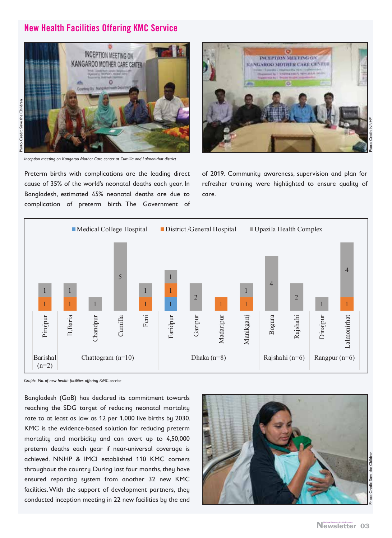# New Health Facilities Offering KMC Service



*Inception meeting on Kangaroo Mother Care center at Cumilla and Lalmonirhat district*

Preterm births with complications are the leading direct cause of 35% of the world's neonatal deaths each year. In Bangladesh, estimated 45% neonatal deaths are due to complication of preterm birth. The Government of



of 2019. Community awareness, supervision and plan for refresher training were highlighted to ensure quality of care.



*Graph: No. of new health facilities offering KMC service*

Bangladesh (GoB) has declared its commitment towards reaching the SDG target of reducing neonatal mortality rate to at least as low as 12 per 1,000 live births by 2030. KMC is the evidence-based solution for reducing preterm mortality and morbidity and can avert up to 4,50,000 preterm deaths each year if near-universal coverage is achieved. NNHP & IMCI established 110 KMC corners throughout the country. During last four months, they have ensured reporting system from another 32 new KMC facilities. With the support of development partners, they conducted inception meeting in 22 new facilities by the end

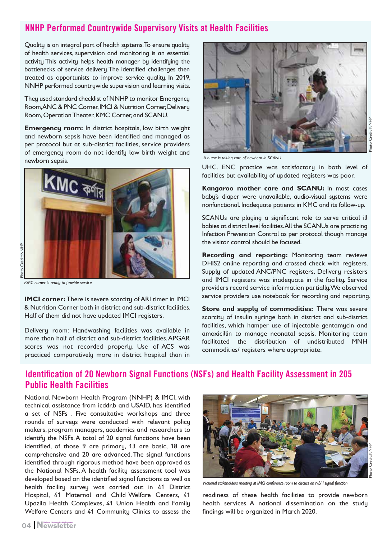# NNHP Performed Countrywide Supervisory Visits at Health Facilities

Quality is an integral part of health systems. To ensure quality of health services, supervision and monitoring is an essential activity. This activity helps health manager by identifying the bottlenecks of service delivery. The identified challenges then treated as opportunists to improve service quality. In 2019, NNHP performed countrywide supervision and learning visits.

They used standard checklist of NNHP to monitor Emergency Room, ANC & PNC Corner, IMCI & Nutrition Corner, Delivery Room, Operation Theater, KMC Corner, and SCANU.

**Emergency room:** In district hospitals, low birth weight and newborn sepsis have been identified and managed as per protocol but at sub-district facilities, service providers of emergency room do not identify low birth weight and newborn sepsis.



*KMC corner is ready to provide service*

**IMCI corner:** There is severe scarcity of ARI timer in IMCI & Nutrition Corner both in district and sub-district facilities. Half of them did not have updated IMCI registers.

Delivery room: Handwashing facilities was available in more than half of district and sub-district facilities. APGAR scores was not recorded properly. Use of ACS was practiced comparatively more in district hospital than in



*A nurse is taking care of newborn in SCANU*

UHC. ENC practice was satisfactory in both level of facilities but availability of updated registers was poor.

**Kangaroo mother care and SCANU:** In most cases baby's diaper were unavailable, audio-visual systems were nonfunctional. Inadequate patients in KMC and its follow-up.

SCANUs are playing a significant role to serve critical ill babies at district level facilities. All the SCANUs are practicing Infection Prevention Control as per protocol though manage the visitor control should be focused.

**Recording and reporting:** Monitoring team reviewe DHIS2 online reporting and crossed check with registers. Supply of updated ANC/PNC registers, Delivery resisters and IMCI registers was inadequate in the facility. Service providers record service information partially. We observed service providers use notebook for recording and reporting.

**Store and supply of commodities:** There was severe scarcity of insulin syringe both in district and sub-district facilities, which hamper use of injectable gentamycin and amoxicillin to manage neonatal sepsis. Monitoring team facilitated the distribution of undistributed MNH commodities/ registers where appropriate.

## Identification of 20 Newborn Signal Functions (NSFs) and Health Facility Assessment in 205 Public Health Facilities

National Newborn Health Program (NNHP) & IMCI, with technical assistance from icddr,b and USAID, has identified a set of NSFs . Five consultative workshops and three rounds of surveys were conducted with relevant policy makers, program managers, academics and researchers to identify the NSFs. A total of 20 signal functions have been identified, of those 9 are primary, 13 are basic, 18 are comprehensive and 20 are advanced. The signal functions identified through rigorous method have been approved as the National NSFs. A health facility assessment tool was developed based on the identified signal functions as well as health facility survey was carried out in 41 District Hospital, 41 Maternal and Child Welfare Centers, 41 Upazila Health Complexes, 41 Union Health and Family Welfare Centers and 41 Community Clinics to assess the



*National stakeholders meeting at IMCI conference room to discuss on NBH signal function*

readiness of these health facilities to provide newborn health services. A national dissemination on the study findings will be organized in March 2020.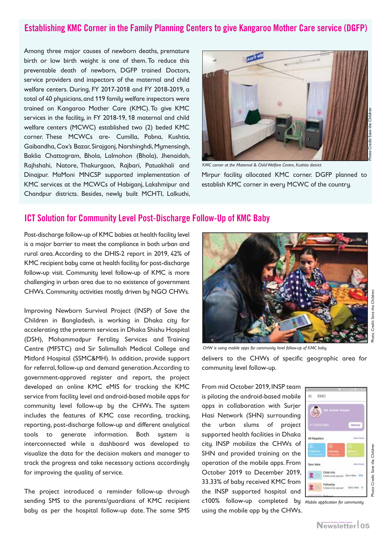# Establishing KMC Corner in the Family Planning Centers to give Kangaroo Mother Care service (DGFP)

Among three major causes of newborn deaths, premature birth or low birth weight is one of them. To reduce this preventable death of newborn, DGFP trained Doctors, service providers and inspectors of the maternal and child welfare centers. During, FY 2017-2018 and FY 2018-2019, a total of 40 physicians, and 119 family welfare inspectors were trained on Kangaroo Mother Care (KMC). To give KMC services in the facility, in FY 2018-19, 18 maternal and child welfare centers (MCWC) established two (2) beded KMC corner. These MCWCs are- Cumilla, Pabna, Kushtia, Gaibandha, Cox's Bazar, Sirajgonj, Narshinghdi, Mymensingh, Baklia Chattogram, Bhola, Lalmohon (Bhola), Jhenaidah, Rajhshahi, Natore, Thakurgaon, Rajbari, Patuakhali and Dinajpur. MaMoni MNCSP supported implementation of KMC services at the MCWCs of Habiganj, Lakshmipur and Chandpur districts. Besides, newly built MCHTI, Lalkuthi,



*KMC corner at the Maternal & Child Welfare Centre, Kushtia district*

Mirpur facility allocated KMC corner. DGFP planned to establish KMC corner in every MCWC of the country.

#### ICT Solution for Community Level Post-Discharge Follow-Up of KMC Baby

Post-discharge follow-up of KMC babies at health facility level is a major barrier to meet the compliance in both urban and rural area. According to the DHIS-2 report in 2019, 42% of KMC recipient baby came at health facility for post-discharge follow-up visit. Community level follow-up of KMC is more challenging in urban area due to no existence of government CHWs. Community activities mostly driven by NGO CHWs.

Improving Newborn Survival Project (INSP) of Save the Children in Bangladesh, is working in Dhaka city for accelerating tthe preterm services in Dhaka Shishu Hospital (DSH), Mohammadpur Fertility Services and Training Centre (MFSTC) and Sir Salimullah Medical College and Mitford Hospital (SSMC&MH). In addition, provide support for referral, follow-up and demand generation. According to government-approved register and report, the project developed an online KMC eMIS for tracking the KMC service from facility level and android-based mobile apps for community level follow-up by the CHWs. The system includes the features of KMC case recording, tracking, reporting, post-discharge follow-up and different analytical tools to generate information. Both system is interconnected while a dashboard was developed to visualize the data for the decision makers and manager to track the progress and take necessary actions accordingly for improving the quality of service.

The project introduced a reminder follow-up through sending SMS to the parents/guardians of KMC recipient baby as per the hospital follow-up date. The same SMS



*CHW is using mobile apps for community level follow-up of KMC baby*

delivers to the CHWs of specific geographic area for community level follow-up.

From mid October 2019, INSP team is piloting the android-based mobile apps in collaboration with Surjer Hasi Network (SHN) surrounding the urban slums of project supported health facilities in Dhaka city. INSP mobilize the CHWs of SHN and provided training on the operation of the mobile apps. From October 2019 to December 2019, 33.33% of baby received KMC from the INSP supported hospital and c100% follow-up completed by *Mobile application for community*  using the mobile app by the CHWs.

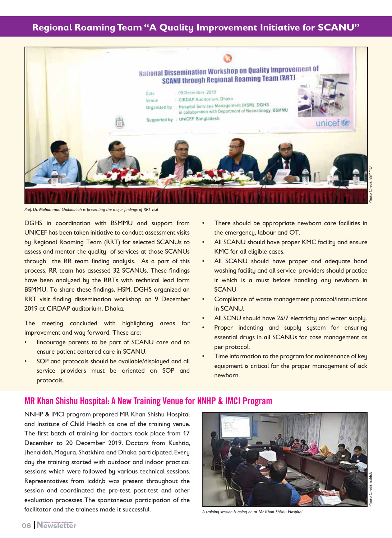# **Regional Roaming Team "A Quality Improvement Initiative for SCANU"**



*Prof. Dr. Mohammad Shahidullah is presenting the major findings of RRT visit* 

DGHS in coordination with BSMMU and support from UNICEF has been taken initiative to conduct assessment visits by Regional Roaming Team (RRT) for selected SCANUs to assess and mentor the quality of services at those SCANUs through the RR team finding analysis. As a part of this process, RR team has assessed 32 SCANUs. These findings have been analyzed by the RRTs with technical lead form BSMMU. To share these findings, HSM, DGHS organized an RRT visit finding dissemination workshop on 9 December 2019 at CIRDAP auditorium, Dhaka.

The meeting concluded with highlighting areas for improvement and way forward. These are:

- Encourage parents to be part of SCANU care and to ensure patient centered care in SCANU.
- SOP and protocols should be available/displayed and all service providers must be oriented on SOP and protocols.
- There should be appropriate newborn care facilities in the emergency, labour and OT.
- All SCANU should have proper KMC facility and ensure KMC for all eligible cases.
- All SCANU should have proper and adequate hand washing facility and all service providers should practice it which is a must before handling any newborn in **SCANU**
- Compliance of waste management protocol/instructions in SCANU.
- All SCNU should have 24/7 electricity and water supply.
- Proper indenting and supply system for ensuring essential drugs in all SCANUs for case management as per protocol.
- Time information to the program for maintenance of key equipment is critical for the proper management of sick newborn.

#### MR Khan Shishu Hospital: A New Training Venue for NNHP & IMCI Program

NNHP & IMCI program prepared MR Khan Shishu Hospital and Institute of Child Health as one of the training venue. The first batch of training for doctors took place from 17 December to 20 December 2019. Doctors from Kushtia, Jhenaidah, Magura, Shatkhira and Dhaka participated. Every day the training started with outdoor and indoor practical sessions which were followed by various technical sessions. Representatives from icddr,b was present throughout the session and coordinated the pre-test, post-test and other evaluation processes. The spontaneous participation of the facilitator and the trainees made it successful.



*A training session is going on at Mr Khan Shishu Hospital*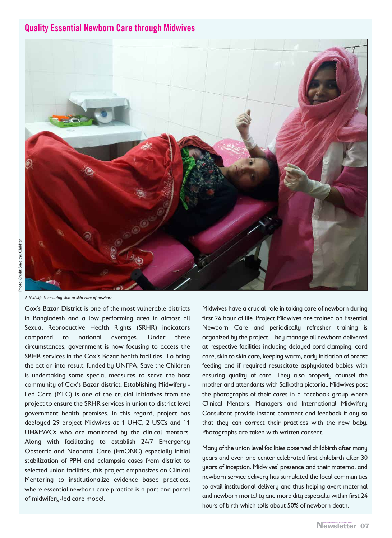#### Quality Essential Newborn Care through Midwives



*A Midwife is ensuring skin to skin care of newborn* 

Cox's Bazar District is one of the most vulnerable districts in Bangladesh and a low performing area in almost all Sexual Reproductive Health Rights (SRHR) indicators compared to national averages. Under these circumstances, government is now focusing to access the SRHR services in the Cox's Bazar health facilities. To bring the action into result, funded by UNFPA, Save the Children is undertaking some special measures to serve the host community of Cox's Bazar district. Establishing Midwifery - Led Care (MLC) is one of the crucial initiatives from the project to ensure the SRHR services in union to district level government health premises. In this regard, project has deployed 29 project Midwives at 1 UHC, 2 USCs and 11 UH&FWCs who are monitored by the clinical mentors. Along with facilitating to establish 24/7 Emergency Obstetric and Neonatal Care (EmONC) especially initial stabilization of PPH and eclampsia cases from district to selected union facilities, this project emphasizes on Clinical Mentoring to institutionalize evidence based practices, where essential newborn care practice is a part and parcel of midwifery-led care model.

Midwives have a crucial role in taking care of newborn during first 24 hour of life. Project Midwives are trained on Essential Newborn Care and periodically refresher training is organized by the project. They manage all newborn delivered at respective facilities including delayed cord clamping, cord care, skin to skin care, keeping warm, early initiation of breast feeding and if required resuscitate asphyxiated babies with ensuring quality of care. They also properly counsel the mother and attendants with Safkotha pictorial. Midwives post the photographs of their cares in a Facebook group where Clinical Mentors, Managers and International Midwifery Consultant provide instant comment and feedback if any so that they can correct their practices with the new baby. Photographs are taken with written consent.

Many of the union level facilities observed childbirth after many years and even one center celebrated first childbirth after 30 years of inception. Midwives' presence and their maternal and newborn service delivery has stimulated the local communities to avail institutional delivery and thus helping avert maternal and newborn mortality and morbidity especially within first 24 hours of birth which tolls about 50% of newborn death.